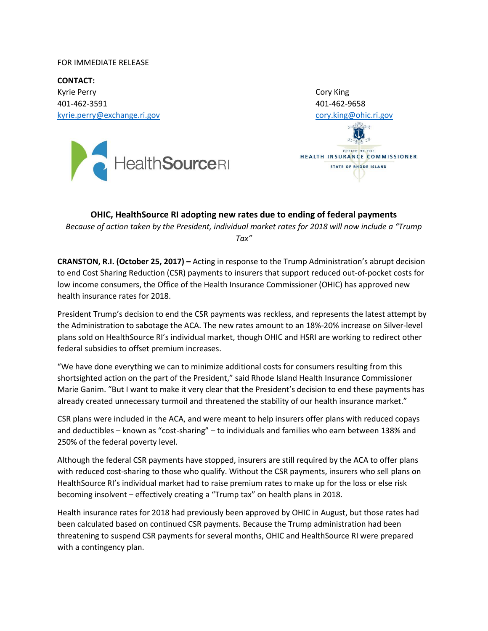## FOR IMMEDIATE RELEASE

**CONTACT:** Kyrie Perry **Cory King** 401-462-3591 401-462-9658 [kyrie.perry@exchange.ri.gov](mailto:kyrie.perry@exchange.ri.gov) [cory.king@ohic.ri.gov](mailto:cory.king@ohic.ri.gov)





**OHIC, HealthSource RI adopting new rates due to ending of federal payments** *Because of action taken by the President, individual market rates for 2018 will now include a "Trump* 

*Tax"*

**CRANSTON, R.I. (October 25, 2017) –** Acting in response to the Trump Administration's abrupt decision to end Cost Sharing Reduction (CSR) payments to insurers that support reduced out-of-pocket costs for low income consumers, the Office of the Health Insurance Commissioner (OHIC) has approved new health insurance rates for 2018.

President Trump's decision to end the CSR payments was reckless, and represents the latest attempt by the Administration to sabotage the ACA. The new rates amount to an 18%-20% increase on Silver-level plans sold on HealthSource RI's individual market, though OHIC and HSRI are working to redirect other federal subsidies to offset premium increases.

"We have done everything we can to minimize additional costs for consumers resulting from this shortsighted action on the part of the President," said Rhode Island Health Insurance Commissioner Marie Ganim. "But I want to make it very clear that the President's decision to end these payments has already created unnecessary turmoil and threatened the stability of our health insurance market."

CSR plans were included in the ACA, and were meant to help insurers offer plans with reduced copays and deductibles – known as "cost-sharing" – to individuals and families who earn between 138% and 250% of the federal poverty level.

Although the federal CSR payments have stopped, insurers are still required by the ACA to offer plans with reduced cost-sharing to those who qualify. Without the CSR payments, insurers who sell plans on HealthSource RI's individual market had to raise premium rates to make up for the loss or else risk becoming insolvent – effectively creating a "Trump tax" on health plans in 2018.

Health insurance rates for 2018 had previously been approved by OHIC in August, but those rates had been calculated based on continued CSR payments. Because the Trump administration had been threatening to suspend CSR payments for several months, OHIC and HealthSource RI were prepared with a contingency plan.